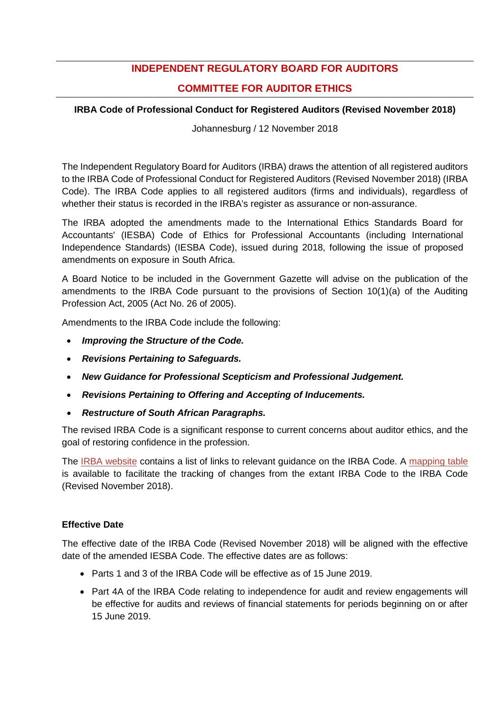# **INDEPENDENT REGULATORY BOARD FOR AUDITORS**

# **COMMITTEE FOR AUDITOR ETHICS**

## **IRBA Code of Professional Conduct for Registered Auditors (Revised November 2018)**

Johannesburg / 12 November 2018

The Independent Regulatory Board for Auditors (IRBA) draws the attention of all registered auditors to the IRBA Code of Professional Conduct for Registered Auditors (Revised November 2018) (IRBA Code). The IRBA Code applies to all registered auditors (firms and individuals), regardless of whether their status is recorded in the IRBA's register as assurance or non-assurance.

The IRBA adopted the amendments made to the International Ethics Standards Board for Accountants' (IESBA) Code of Ethics for Professional Accountants (including International Independence Standards) (IESBA Code), issued during 2018, following the issue of proposed amendments on exposure in South Africa.

A Board Notice to be included in the Government Gazette will advise on the publication of the amendments to the IRBA Code pursuant to the provisions of Section 10(1)(a) of the Auditing Profession Act, 2005 (Act No. 26 of 2005).

Amendments to the IRBA Code include the following:

- *Improving the Structure of the Code.*
- *Revisions Pertaining to Safeguards.*
- *New Guidance for Professional Scepticism and Professional Judgement.*
- *Revisions Pertaining to Offering and Accepting of Inducements.*
- *Restructure of South African Paragraphs.*

The revised IRBA Code is a significant response to current concerns about auditor ethics, and the goal of restoring confidence in the profession.

The [IRBA website](https://www.irba.co.za/guidance-for-ras/ethics:-the-rules-and-the-code/the-irba-code-revised-2018) contains a list of links to relevant guidance on the IRBA Code. A [mapping table](https://www.irba.co.za/upload/Mapping%20Table%20-%20South%20African%20Amendments%20Nov%202018.pdf) is available to facilitate the tracking of changes from the extant IRBA Code to the IRBA Code (Revised November 2018).

## **Effective Date**

The effective date of the IRBA Code (Revised November 2018) will be aligned with the effective date of the amended IESBA Code. The effective dates are as follows:

- Parts 1 and 3 of the IRBA Code will be effective as of 15 [June 2019.](x-apple-data-detectors://2/)
- Part 4A of the IRBA Code relating to independence for audit and review engagements will be effective for audits and reviews of financial statements for periods beginning on or [after](x-apple-data-detectors://3/)  [15 June 2019.](x-apple-data-detectors://3/)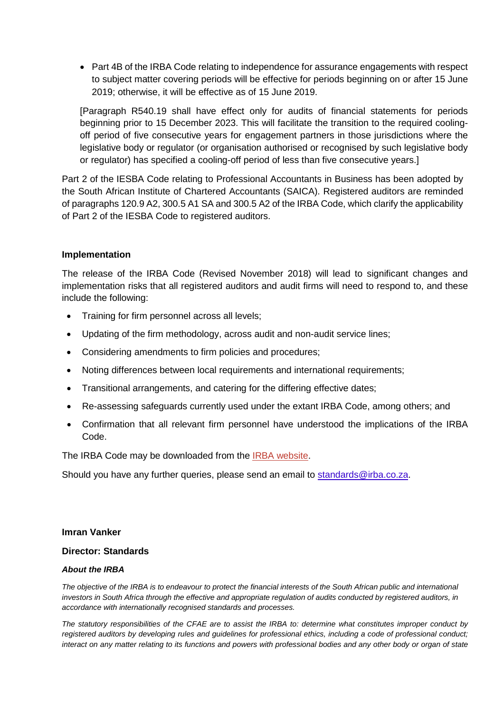• Part 4B of the IRBA Code relating to independence for assurance engagements with respect to subject matter covering periods will be effective for periods beginning on or [after 15 June](x-apple-data-detectors://4/)  [2019;](x-apple-data-detectors://4/) otherwise, it will be effective as of 15 [June 2019.](x-apple-data-detectors://5/)

[Paragraph R540.19 shall have effect only for audits of financial statements for periods beginning prior to 15 December 2023. This will facilitate the transition to the required coolingoff period of five consecutive years for engagement partners in those jurisdictions where the legislative body or regulator (or organisation authorised or recognised by such legislative body or regulator) has specified a cooling-off period of less than five consecutive years.]

Part 2 of the IESBA Code relating to Professional Accountants in Business has been adopted by the South African Institute of Chartered Accountants (SAICA). Registered auditors are reminded of paragraphs 120.9 A2, 300.5 A1 SA and 300.5 A2 of the IRBA Code, which clarify the applicability of Part 2 of the IESBA Code to registered auditors.

### **Implementation**

The release of the IRBA Code (Revised November 2018) will lead to significant changes and implementation risks that all registered auditors and audit firms will need to respond to, and these include the following:

- Training for firm personnel across all levels;
- Updating of the firm methodology, across audit and non-audit service lines;
- Considering amendments to firm policies and procedures;
- Noting differences between local requirements and international requirements;
- Transitional arrangements, and catering for the differing effective dates;
- Re-assessing safeguards currently used under the extant IRBA Code, among others; and
- Confirmation that all relevant firm personnel have understood the implications of the IRBA Code.

The IRBA Code may be downloaded from the [IRBA website.](https://www.irba.co.za/guidance-for-ras/ethics:-the-rules-and-the-code/the-irba-code-revised-2018)

Should you have any further queries, please send an email to [standards@irba.co.za.](mailto:standards@irba.co.za)

#### **Imran Vanker**

### **Director: Standards**

#### *About the IRBA*

*The objective of the IRBA is to endeavour to protect the financial interests of the South African public and international investors in South Africa through the effective and appropriate regulation of audits conducted by registered auditors, in accordance with internationally recognised standards and processes.* 

*The statutory responsibilities of the CFAE are to assist the IRBA to: determine what constitutes improper conduct by registered auditors by developing rules and guidelines for professional ethics, including a code of professional conduct; interact on any matter relating to its functions and powers with professional bodies and any other body or organ of state*